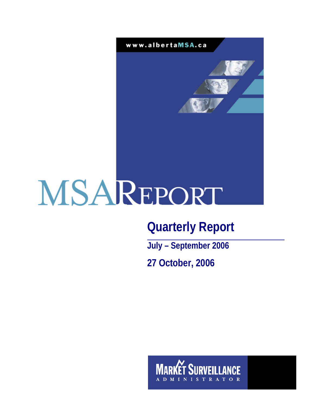

# **Quarterly Report**

**July – September 2006 27 October, 2006** 

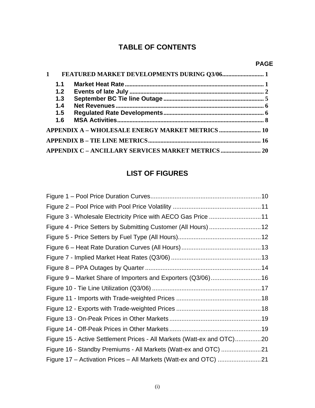# **TABLE OF CONTENTS**

# **PAGE**

| $\mathbf{1}$ |     |                                                           |  |
|--------------|-----|-----------------------------------------------------------|--|
|              | 1.1 |                                                           |  |
|              | 1.2 |                                                           |  |
|              | 1.3 |                                                           |  |
|              | 1.4 |                                                           |  |
|              | 1.5 |                                                           |  |
|              | 1.6 |                                                           |  |
|              |     | <b>APPENDIX A - WHOLESALE ENERGY MARKET METRICS  10</b>   |  |
|              |     |                                                           |  |
|              |     | <b>APPENDIX C - ANCILLARY SERVICES MARKET METRICS  20</b> |  |

# **LIST OF FIGURES**

| Figure 3 - Wholesale Electricity Price with AECO Gas Price 11          |  |
|------------------------------------------------------------------------|--|
| Figure 4 - Price Setters by Submitting Customer (All Hours)  12        |  |
|                                                                        |  |
|                                                                        |  |
|                                                                        |  |
|                                                                        |  |
| Figure 9 - Market Share of Importers and Exporters (Q3/06) 16          |  |
|                                                                        |  |
|                                                                        |  |
|                                                                        |  |
|                                                                        |  |
|                                                                        |  |
| Figure 15 - Active Settlement Prices - All Markets (Watt-ex and OTC)20 |  |
| Figure 16 - Standby Premiums - All Markets (Watt-ex and OTC) 21        |  |
| Figure 17 - Activation Prices - All Markets (Watt-ex and OTC) 21       |  |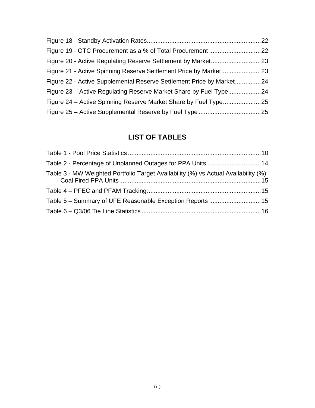| Figure 22 - Active Supplemental Reserve Settlement Price by Market24 |  |
|----------------------------------------------------------------------|--|
|                                                                      |  |
|                                                                      |  |
|                                                                      |  |

# **LIST OF TABLES**

| Table 3 - MW Weighted Portfolio Target Availability (%) vs Actual Availability (%) |  |
|------------------------------------------------------------------------------------|--|
|                                                                                    |  |
|                                                                                    |  |
|                                                                                    |  |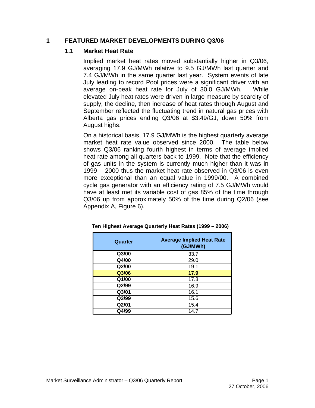#### **1 FEATURED MARKET DEVELOPMENTS DURING Q3/06**

#### **1.1 Market Heat Rate**

Implied market heat rates moved substantially higher in Q3/06, averaging 17.9 GJ/MWh relative to 9.5 GJ/MWh last quarter and 7.4 GJ/MWh in the same quarter last year. System events of late July leading to record Pool prices were a significant driver with an average on-peak heat rate for July of 30.0 GJ/MWh. While elevated July heat rates were driven in large measure by scarcity of supply, the decline, then increase of heat rates through August and September reflected the fluctuating trend in natural gas prices with Alberta gas prices ending Q3/06 at \$3.49/GJ, down 50% from August highs.

On a historical basis, 17.9 GJ/MWh is the highest quarterly average market heat rate value observed since 2000. The table below shows Q3/06 ranking fourth highest in terms of average implied heat rate among all quarters back to 1999. Note that the efficiency of gas units in the system is currently much higher than it was in 1999 – 2000 thus the market heat rate observed in Q3/06 is even more exceptional than an equal value in 1999/00. A combined cycle gas generator with an efficiency rating of 7.5 GJ/MWh would have at least met its variable cost of gas 85% of the time through Q3/06 up from approximately 50% of the time during Q2/06 (see Appendix A, Figure 6).

| Quarter | <b>Average Implied Heat Rate</b><br>(GJ/MWh) |
|---------|----------------------------------------------|
| Q3/00   | 33.7                                         |
| Q4/00   | 29.0                                         |
| Q2/00   | 19.1                                         |
| Q3/06   | 17.9                                         |
| Q1/00   | 17.8                                         |
| Q2/99   | 16.9                                         |
| Q3/01   | 16.1                                         |
| Q3/99   | 15.6                                         |
| Q2/01   | 15.4                                         |
| Q4/99   | 14.7                                         |

#### **Ten Highest Average Quarterly Heat Rates (1999 – 2006)**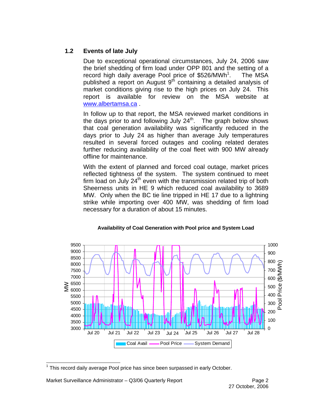# **1.2 Events of late July**

Due to exceptional operational circumstances, July 24, 2006 saw the brief shedding of firm load under OPP 801 and the setting of a record high daily average Pool price of \$526/MWh<sup>1</sup>. . The MSA published a report on August  $9<sup>th</sup>$  containing a detailed analysis of market conditions giving rise to the high prices on July 24. This report is available for review on the MSA website at www.albertamsa.ca .

In follow up to that report, the MSA reviewed market conditions in the days prior to and following July  $24<sup>th</sup>$ . The graph below shows that coal generation availability was significantly reduced in the days prior to July 24 as higher than average July temperatures resulted in several forced outages and cooling related derates further reducing availability of the coal fleet with 900 MW already offline for maintenance.

With the extent of planned and forced coal outage, market prices reflected tightness of the system. The system continued to meet firm load on July  $24<sup>th</sup>$  even with the transmission related trip of both Sheerness units in HE 9 which reduced coal availability to 3689 MW. Only when the BC tie line tripped in HE 17 due to a lightning strike while importing over 400 MW, was shedding of firm load necessary for a duration of about 15 minutes.



#### **Availability of Coal Generation with Pool price and System Load**

 $\overline{a}$  $1$  This record daily average Pool price has since been surpassed in early October.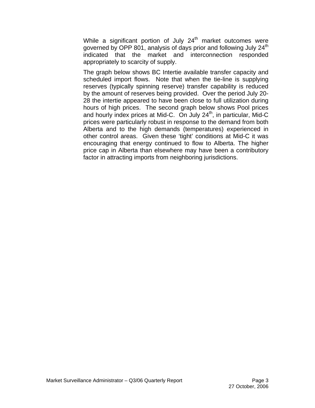While a significant portion of July  $24<sup>th</sup>$  market outcomes were governed by OPP 801, analysis of days prior and following July 24<sup>th</sup> indicated that the market and interconnection responded appropriately to scarcity of supply.

The graph below shows BC Intertie available transfer capacity and scheduled import flows. Note that when the tie-line is supplying reserves (typically spinning reserve) transfer capability is reduced by the amount of reserves being provided. Over the period July 20- 28 the intertie appeared to have been close to full utilization during hours of high prices. The second graph below shows Pool prices and hourly index prices at Mid-C. On July  $24<sup>th</sup>$ , in particular, Mid-C prices were particularly robust in response to the demand from both Alberta and to the high demands (temperatures) experienced in other control areas. Given these 'tight' conditions at Mid-C it was encouraging that energy continued to flow to Alberta. The higher price cap in Alberta than elsewhere may have been a contributory factor in attracting imports from neighboring jurisdictions.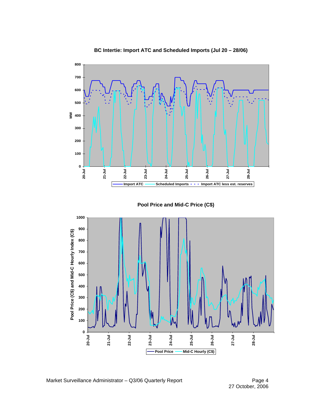

 **BC Intertie: Import ATC and Scheduled Imports (Jul 20 – 28/06)**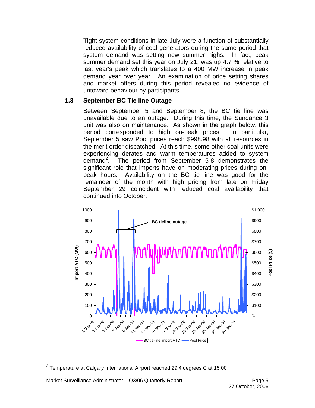Tight system conditions in late July were a function of substantially reduced availability of coal generators during the same period that system demand was setting new summer highs. In fact, peak summer demand set this year on July 21, was up 4.7 % relative to last year's peak which translates to a 400 MW increase in peak demand year over year. An examination of price setting shares and market offers during this period revealed no evidence of untoward behaviour by participants.

### **1.3 September BC Tie line Outage**

Between September 5 and September 8, the BC tie line was unavailable due to an outage. During this time, the Sundance 3 unit was also on maintenance. As shown in the graph below, this period corresponded to high on-peak prices. In particular, September 5 saw Pool prices reach \$998.98 with all resources in the merit order dispatched. At this time, some other coal units were experiencing derates and warm temperatures added to system demand<sup>2</sup>. The period from September 5-8 demonstrates the significant role that imports have on moderating prices during onpeak hours. Availability on the BC tie line was good for the remainder of the month with high pricing from late on Friday September 29 coincident with reduced coal availability that continued into October.



 $\overline{a}$ <sup>2</sup> Temperature at Calgary International Airport reached 29.4 degrees C at 15:00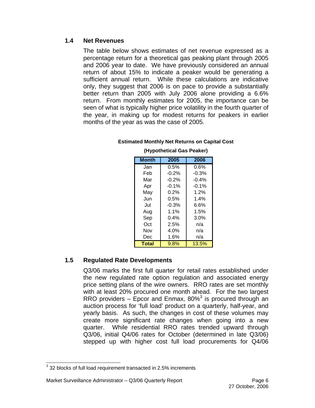## **1.4 Net Revenues**

The table below shows estimates of net revenue expressed as a percentage return for a theoretical gas peaking plant through 2005 and 2006 year to date. We have previously considered an annual return of about 15% to indicate a peaker would be generating a sufficient annual return. While these calculations are indicative only, they suggest that 2006 is on pace to provide a substantially better return than 2005 with July 2006 alone providing a 6.6% return. From monthly estimates for 2005, the importance can be seen of what is typically higher price volatility in the fourth quarter of the year, in making up for modest returns for peakers in earlier months of the year as was the case of 2005.

| <b>Month</b> | 2005    | 2006    |
|--------------|---------|---------|
| Jan          | $0.5\%$ | 0.6%    |
| Feb          | $-0.2%$ | $-0.3%$ |
| Mar          | $-0.2%$ | $-0.4%$ |
| Apr          | $-0.1%$ | $-0.1%$ |
| May          | $0.2\%$ | 1.2%    |
| Jun          | $0.5\%$ | 1.4%    |
| Jul          | $-0.3%$ | 6.6%    |
| Aug          | 1.1%    | 1.5%    |
| Sep          | 0.4%    | 3.0%    |
| Oct          | 2.5%    | n/a     |
| Nov          | 4.0%    | n/a     |
| Dec          | 1.6%    | n/a     |
| <b>Total</b> | 9.8%    | 13.5%   |

#### **Estimated Monthly Net Returns on Capital Cost (Hypothetical Gas Peaker)**

## **1.5 Regulated Rate Developments**

Q3/06 marks the first full quarter for retail rates established under the new regulated rate option regulation and associated energy price setting plans of the wire owners. RRO rates are set monthly with at least 20% procured one month ahead. For the two largest RRO providers  $-$  Epcor and Enmax, 80%<sup>3</sup> is procured through an auction process for 'full load' product on a quarterly, half-year, and yearly basis. As such, the changes in cost of these volumes may create more significant rate changes when going into a new quarter. While residential RRO rates trended upward through Q3/06, initial Q4/06 rates for October (determined in late Q3/06) stepped up with higher cost full load procurements for Q4/06

 3 32 blocks of full load requirement transacted in 2.5% increments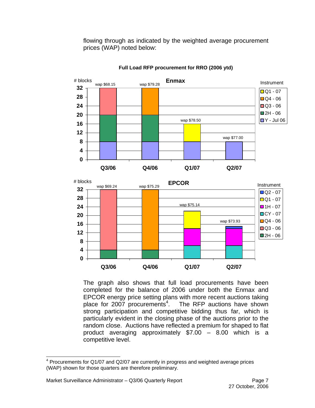flowing through as indicated by the weighted average procurement prices (WAP) noted below:



#### **Full Load RFP procurement for RRO (2006 ytd)**



The graph also shows that full load procurements have been completed for the balance of 2006 under both the Enmax and EPCOR energy price setting plans with more recent auctions taking place for 2007 procurements $4$ . . The RFP auctions have shown strong participation and competitive bidding thus far, which is particularly evident in the closing phase of the auctions prior to the random close. Auctions have reflected a premium for shaped to flat product averaging approximately \$7.00 – 8.00 which is a competitive level.

 4 Procurements for Q1/07 and Q2/07 are currently in progress and weighted average prices (WAP) shown for those quarters are therefore preliminary.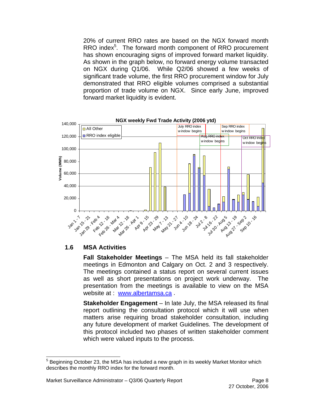20% of current RRO rates are based on the NGX forward month RRO index<sup>5</sup>. The forward month component of RRO procurement has shown encouraging signs of improved forward market liquidity. As shown in the graph below, no forward energy volume transacted on NGX during Q1/06. While Q2/06 showed a few weeks of significant trade volume, the first RRO procurement window for July demonstrated that RRO eligible volumes comprised a substantial proportion of trade volume on NGX. Since early June, improved forward market liquidity is evident.



#### **1.6 MSA Activities**

**Fall Stakeholder Meetings** – The MSA held its fall stakeholder meetings in Edmonton and Calgary on Oct. 2 and 3 respectively. The meetings contained a status report on several current issues as well as short presentations on project work underway. The presentation from the meetings is available to view on the MSA website at : www.albertamsa.ca.

**Stakeholder Engagement** – In late July, the MSA released its final report outlining the consultation protocol which it will use when matters arise requiring broad stakeholder consultation, including any future development of market Guidelines. The development of this protocol included two phases of written stakeholder comment which were valued inputs to the process.

<sup>&</sup>lt;u>5</u><br><sup>5</sup> Beginning October 23, the MSA has included a new graph in its weekly Market Monitor which i describes the monthly RRO index for the forward month.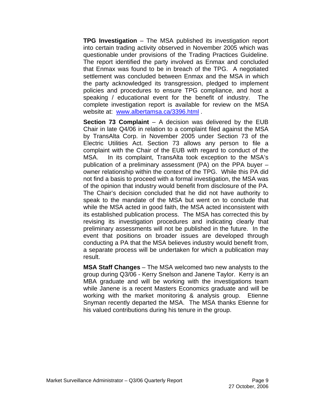**TPG Investigation** – The MSA published its investigation report into certain trading activity observed in November 2005 which was questionable under provisions of the Trading Practices Guideline. The report identified the party involved as Enmax and concluded that Enmax was found to be in breach of the TPG. A negotiated settlement was concluded between Enmax and the MSA in which the party acknowledged its transgression, pledged to implement policies and procedures to ensure TPG compliance, and host a speaking / educational event for the benefit of industry. The complete investigation report is available for review on the MSA website at: [www.albertamsa.ca/3396.html .](https://www.albertamsa.ca/assets/Documents/TPG_Investigation_Report_082306.pdf)

**Section 73 Complaint** – A decision was delivered by the EUB Chair in late Q4/06 in relation to a complaint filed against the MSA by TransAlta Corp. in November 2005 under Section 73 of the Electric Utilities Act. Section 73 allows any person to file a complaint with the Chair of the EUB with regard to conduct of the MSA. In its complaint, TransAlta took exception to the MSA's publication of a preliminary assessment (PA) on the PPA buyer – owner relationship within the context of the TPG. While this PA did not find a basis to proceed with a formal investigation, the MSA was of the opinion that industry would benefit from disclosure of the PA. The Chair's decision concluded that he did not have authority to speak to the mandate of the MSA but went on to conclude that while the MSA acted in good faith, the MSA acted inconsistent with its established publication process. The MSA has corrected this by revising its investigation procedures and indicating clearly that preliminary assessments will not be published in the future. In the event that positions on broader issues are developed through conducting a PA that the MSA believes industry would benefit from, a separate process will be undertaken for which a publication may result.

**MSA Staff Changes** – The MSA welcomed two new analysts to the group during Q3/06 - Kerry Snelson and Janene Taylor. Kerry is an MBA graduate and will be working with the investigations team while Janene is a recent Masters Economics graduate and will be working with the market monitoring & analysis group. Etienne Snyman recently departed the MSA. The MSA thanks Etienne for his valued contributions during his tenure in the group.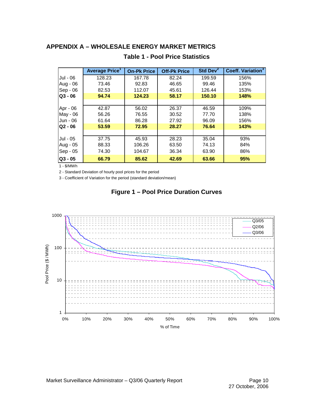# **APPENDIX A – WHOLESALE ENERGY MARKET METRICS**

|           | <b>Average Price</b> | <b>On-Pk Price</b> | <b>Off-Pk Price</b> | Std Dev <sup>2</sup> | Coeff. Variation <sup>3</sup> |
|-----------|----------------------|--------------------|---------------------|----------------------|-------------------------------|
| Jul - 06  | 128.23               | 167.78             | 82.24               | 199.59               | 156%                          |
| Aug - 06  | 73.46                | 92.83              | 46.65               | 99.46                | 135%                          |
| Sep - 06  | 82.53                | 112.07             | 45.61               | 126.44               | 153%                          |
| $Q3 - 06$ | 94.74                | 124.23             | 58.17               | 150.10               | 148%                          |
|           |                      |                    |                     |                      |                               |
| Apr - 06  | 42.87                | 56.02              | 26.37               | 46.59                | 109%                          |
| May - 06  | 56.26                | 76.55              | 30.52               | 77.70                | 138%                          |
| Jun - 06  | 61.64                | 86.28              | 27.92               | 96.09                | 156%                          |
| $Q2 - 06$ | 53.59                | 72.95              | 28.27               | 76.64                | 143%                          |
|           |                      |                    |                     |                      |                               |
| Jul - 05  | 37.75                | 45.93              | 28.23               | 35.04                | 93%                           |
| Aug - 05  | 88.33                | 106.26             | 63.50               | 74.13                | 84%                           |
| Sep - 05  | 74.30                | 104.67             | 36.34               | 63.90                | 86%                           |
| $Q3 - 05$ | 66.79                | 85.62              | 42.69               | 63.66                | 95%                           |

#### **Table 1 - Pool Price Statistics**

1 - \$/MWh

2 - Standard Deviation of hourly pool prices for the period

3 - Coefficient of Variation for the period (standard deviation/mean)



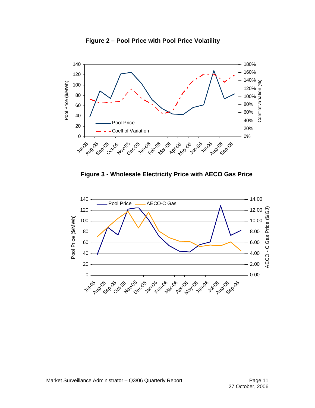

**Figure 2 – Pool Price with Pool Price Volatility**



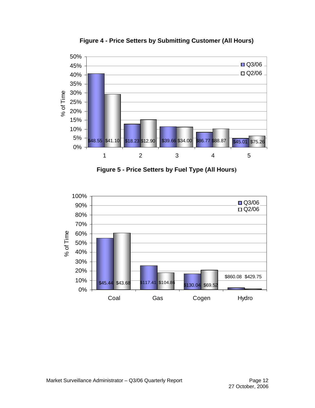

**Figure 4 - Price Setters by Submitting Customer (All Hours)** 

**Figure 5 - Price Setters by Fuel Type (All Hours)** 

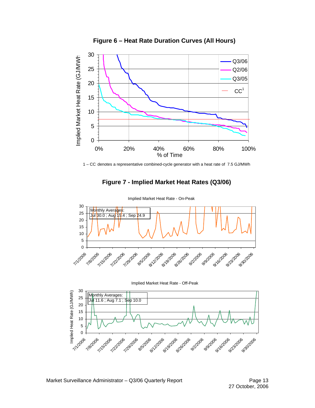

**Figure 6 – Heat Rate Duration Curves (All Hours)** 



# **Figure 7 - Implied Market Heat Rates (Q3/06)**



Implied Market Heat Rate - On-Peak



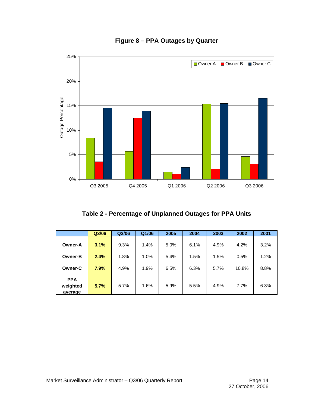

# **Figure 8 – PPA Outages by Quarter**

**Table 2 - Percentage of Unplanned Outages for PPA Units** 

|                                   | Q3/06 | Q <sub>2</sub> /06 | Q1/06 | 2005 | 2004 | 2003 | 2002  | 2001 |
|-----------------------------------|-------|--------------------|-------|------|------|------|-------|------|
| <b>Owner-A</b>                    | 3.1%  | 9.3%               | 1.4%  | 5.0% | 6.1% | 4.9% | 4.2%  | 3.2% |
| <b>Owner-B</b>                    | 2.4%  | 1.8%               | 1.0%  | 5.4% | 1.5% | 1.5% | 0.5%  | 1.2% |
| <b>Owner-C</b>                    | 7.9%  | 4.9%               | 1.9%  | 6.5% | 6.3% | 5.7% | 10.8% | 8.8% |
| <b>PPA</b><br>weighted<br>average | 5.7%  | 5.7%               | 1.6%  | 5.9% | 5.5% | 4.9% | 7.7%  | 6.3% |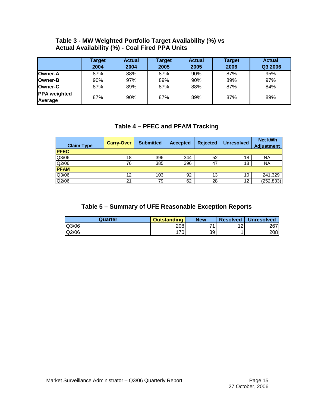## **Table 3 - MW Weighted Portfolio Target Availability (%) vs Actual Availability (%) - Coal Fired PPA Units**

|                                | Target<br>2004 | <b>Actual</b><br>2004 | Target<br>2005 | <b>Actual</b><br>2005 | <b>Target</b><br>2006 | <b>Actual</b><br>Q3 2006 |
|--------------------------------|----------------|-----------------------|----------------|-----------------------|-----------------------|--------------------------|
| Owner-A                        | 87%            | 88%                   | 87%            | 90%                   | 87%                   | 95%                      |
| <b>Owner-B</b>                 | 90%            | 97%                   | 89%            | 90%                   | 89%                   | 97%                      |
| Owner-C                        | 87%            | 89%                   | 87%            | 88%                   | 87%                   | 84%                      |
| <b>PPA</b> weighted<br>Average | 87%            | 90%                   | 87%            | 89%                   | 87%                   | 89%                      |

# **Table 4 – PFEC and PFAM Tracking**

| <b>Claim Type</b> | <b>Carry-Over</b> | <b>Submitted</b> | <b>Accepted</b> | <b>Rejected</b> | <b>Unresolved</b> | <b>Net kWh</b><br><b>Adjustment</b> |
|-------------------|-------------------|------------------|-----------------|-----------------|-------------------|-------------------------------------|
| <b>IPFEC</b>      |                   |                  |                 |                 |                   |                                     |
| Q3/06             | 18                | 396              | 344             | 52              | 18                | <b>NA</b>                           |
| Q2/06             | 76                | 385              | 396             | 47              | 18                | <b>NA</b>                           |
| <b>PFAM</b>       |                   |                  |                 |                 |                   |                                     |
| Q3/06             | 12                | 103              | 92              | 13              | 10                | 241,329                             |
| Q2/06             | 21                | 79               | 62              | 28              | 12                | (252, 833)                          |

# **Table 5 – Summary of UFE Reasonable Exception Reports**

| Quarter | Outstanding | <b>New</b> | <b>Resolved</b> | <b>Unresolved</b> |
|---------|-------------|------------|-----------------|-------------------|
| Q3/06   | 208         | 74         | ∼               | 267               |
| Q2/06   | 1701        | 39         |                 | 208               |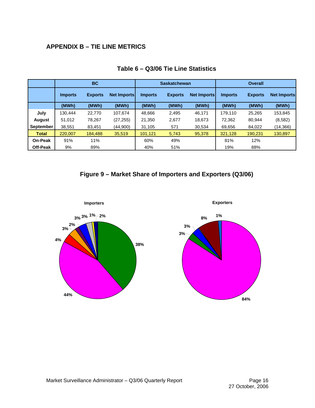# **APPENDIX B – TIE LINE METRICS**

|                  | <b>BC</b>      |                |                    |                | <b>Saskatchewan</b> |                    | <b>Overall</b> |                |                    |
|------------------|----------------|----------------|--------------------|----------------|---------------------|--------------------|----------------|----------------|--------------------|
|                  | <b>Imports</b> | <b>Exports</b> | <b>Net Imports</b> | <b>Imports</b> | <b>Exports</b>      | <b>Net Imports</b> | <b>Imports</b> | <b>Exports</b> | <b>Net Imports</b> |
|                  | (MWh)          | (MWh)          | (MWh)              | (MWh)          | (MWh)               | (MWh)              | (MWh)          | (MWh)          | (MWh)              |
| July             | 130.444        | 22,770         | 107,674            | 48.666         | 2,495               | 46,171             | 179.110        | 25,265         | 153,845            |
| August           | 51,012         | 78,267         | (27, 255)          | 21,350         | 2,677               | 18,673             | 72,362         | 80,944         | (8,582)            |
| <b>September</b> | 38,551         | 83,451         | (44,900)           | 31,105         | 571                 | 30,534             | 69,656         | 84,022         | (14,366)           |
| Total            | 220,007        | 184,488        | 35,519             | 101,121        | 5,743               | 95,378             | 321,128        | 190,231        | 130,897            |
| <b>On-Peak</b>   | 91%            | 11%            |                    | 60%            | 49%                 |                    | 81%            | 12%            |                    |
| Off-Peak         | 9%             | 89%            |                    | 40%            | 51%                 |                    | 19%            | 88%            |                    |

#### **Table 6 – Q3/06 Tie Line Statistics**

# **Figure 9 – Market Share of Importers and Exporters (Q3/06)**

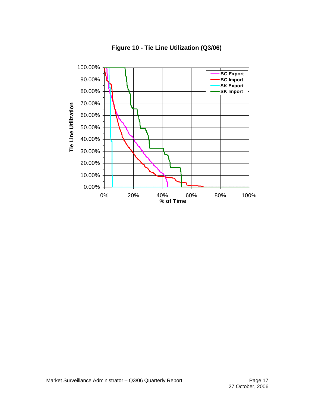

**Figure 10 - Tie Line Utilization (Q3/06)**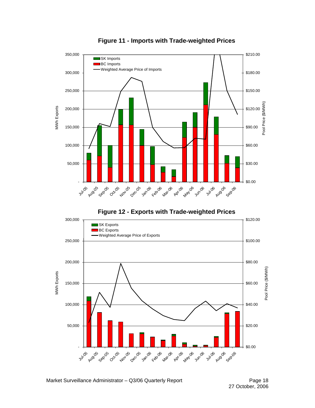

**Figure 11 - Imports with Trade-weighted Prices**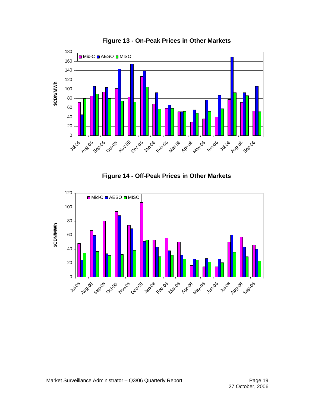





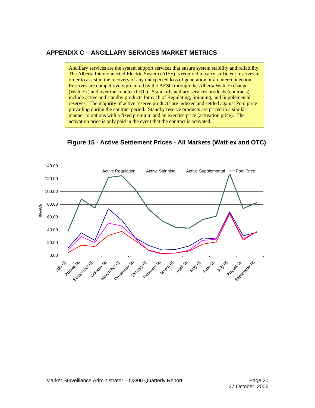#### **APPENDIX C – ANCILLARY SERVICES MARKET METRICS**

Ancillary services are the system support services that ensure system stability and reliability. The Alberta Interconnected Electric System (AIES) is required to carry sufficient reserves in order to assist in the recovery of any unexpected loss of generation or an interconnection. Reserves are competitively procured by the AESO through the Alberta Watt-Exchange (Watt-Ex) and over the counter (OTC). Standard ancillary services products (contracts) include active and standby products for each of Regulating, Spinning, and Supplemental reserves. The majority of active reserve products are indexed and settled against Pool price prevailing during the contract period. Standby reserve products are priced in a similar manner to options with a fixed premium and an exercise price (activation price). The activation price is only paid in the event that the contract is activated.



**Figure 15 - Active Settlement Prices - All Markets (Watt-ex and OTC)**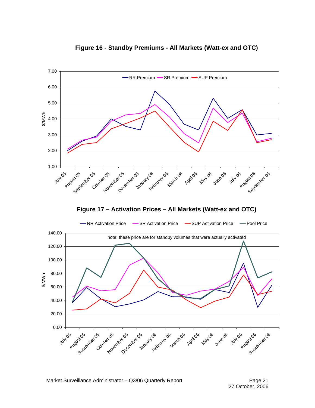

#### **Figure 16 - Standby Premiums - All Markets (Watt-ex and OTC)**

Market Surveillance Administrator – Q3/06 Quarterly Report **Page 21** Page 21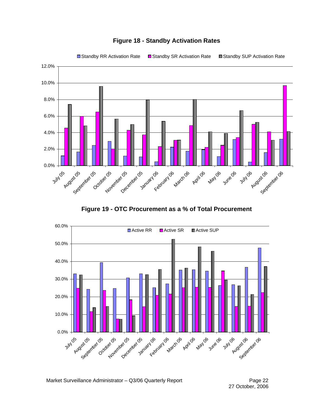

# **Figure 18 - Standby Activation Rates**

**Figure 19 - OTC Procurement as a % of Total Procurement** 

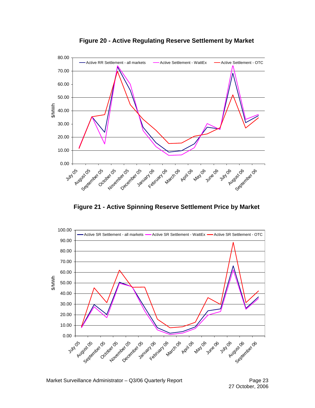

**Figure 20 - Active Regulating Reserve Settlement by Market** 

**Figure 21 - Active Spinning Reserve Settlement Price by Market** 

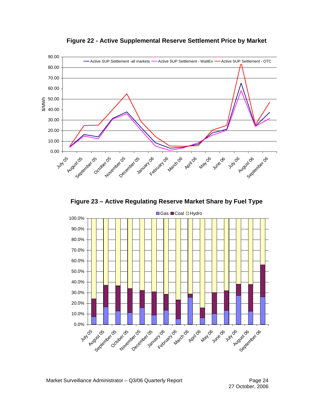

**Figure 22 - Active Supplemental Reserve Settlement Price by Market** 

**Figure 23 – Active Regulating Reserve Market Share by Fuel Type**